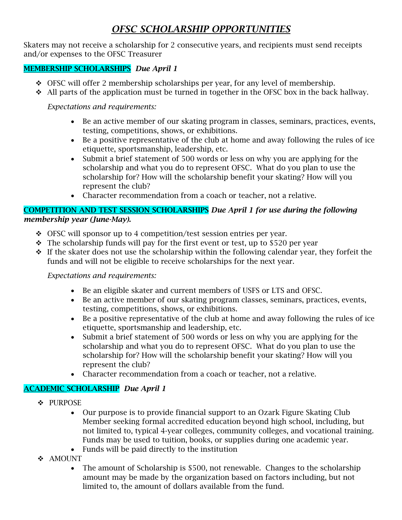# *OFSC SCHOLARSHIP OPPORTUNITIES*

Skaters may not receive a scholarship for 2 consecutive years, and recipients must send receipts and/or expenses to the OFSC Treasurer

## MEMBERSHIP SCHOLARSHIPS *Due April 1*

- ❖ OFSC will offer 2 membership scholarships per year, for any level of membership.
- ❖ All parts of the application must be turned in together in the OFSC box in the back hallway.

#### *Expectations and requirements:*

- Be an active member of our skating program in classes, seminars, practices, events, testing, competitions, shows, or exhibitions.
- Be a positive representative of the club at home and away following the rules of ice etiquette, sportsmanship, leadership, etc.
- Submit a brief statement of 500 words or less on why you are applying for the scholarship and what you do to represent OFSC. What do you plan to use the scholarship for? How will the scholarship benefit your skating? How will you represent the club?
- Character recommendation from a coach or teacher, not a relative.

#### COMPETITION AND TEST SESSION SCHOLARSHIPS *Due April 1 for use during the following membership year (June-May).*

- ❖ OFSC will sponsor up to 4 competition/test session entries per year.
- $\cdot \cdot$  The scholarship funds will pay for the first event or test, up to \$520 per year
- ❖ If the skater does not use the scholarship within the following calendar year, they forfeit the funds and will not be eligible to receive scholarships for the next year.

#### *Expectations and requirements:*

- Be an eligible skater and current members of USFS or LTS and OFSC.
- Be an active member of our skating program classes, seminars, practices, events, testing, competitions, shows, or exhibitions.
- Be a positive representative of the club at home and away following the rules of ice etiquette, sportsmanship and leadership, etc.
- Submit a brief statement of 500 words or less on why you are applying for the scholarship and what you do to represent OFSC. What do you plan to use the scholarship for? How will the scholarship benefit your skating? How will you represent the club?
- Character recommendation from a coach or teacher, not a relative.

#### ACADEMIC SCHOLARSHIP *Due April 1*

- ❖ PURPOSE
	- Our purpose is to provide financial support to an Ozark Figure Skating Club Member seeking formal accredited education beyond high school, including, but not limited to, typical 4-year colleges, community colleges, and vocational training. Funds may be used to tuition, books, or supplies during one academic year.
	- Funds will be paid directly to the institution
- ❖ AMOUNT
	- The amount of Scholarship is \$500, not renewable. Changes to the scholarship amount may be made by the organization based on factors including, but not limited to, the amount of dollars available from the fund.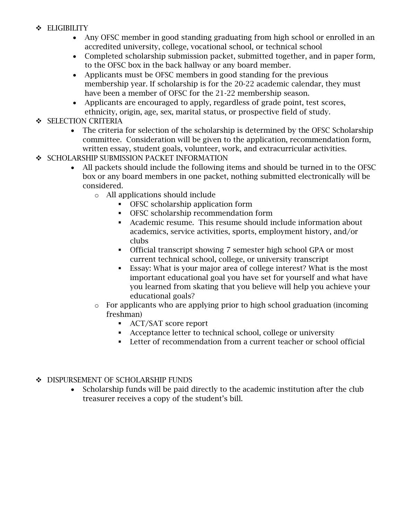- ❖ ELIGIBILITY
	- Any OFSC member in good standing graduating from high school or enrolled in an accredited university, college, vocational school, or technical school
	- Completed scholarship submission packet, submitted together, and in paper form, to the OFSC box in the back hallway or any board member.
	- Applicants must be OFSC members in good standing for the previous membership year. If scholarship is for the 20-22 academic calendar, they must have been a member of OFSC for the 21-22 membership season.
	- Applicants are encouraged to apply, regardless of grade point, test scores, ethnicity, origin, age, sex, marital status, or prospective field of study.

## ❖ SELECTION CRITERIA

- The criteria for selection of the scholarship is determined by the OFSC Scholarship committee. Consideration will be given to the application, recommendation form, written essay, student goals, volunteer, work, and extracurricular activities.
- ❖ SCHOLARSHIP SUBMISSION PACKET INFORMATION
	- All packets should include the following items and should be turned in to the OFSC box or any board members in one packet, nothing submitted electronically will be considered.
		- o All applications should include
			- OFSC scholarship application form
			- OFSC scholarship recommendation form
			- Academic resume. This resume should include information about academics, service activities, sports, employment history, and/or clubs
			- Official transcript showing 7 semester high school GPA or most current technical school, college, or university transcript
			- Essay: What is your major area of college interest? What is the most important educational goal you have set for yourself and what have you learned from skating that you believe will help you achieve your educational goals?
		- o For applicants who are applying prior to high school graduation (incoming freshman)
			- ACT/SAT score report
			- Acceptance letter to technical school, college or university
			- Letter of recommendation from a current teacher or school official
- ❖ DISPURSEMENT OF SCHOLARSHIP FUNDS
	- Scholarship funds will be paid directly to the academic institution after the club treasurer receives a copy of the student's bill.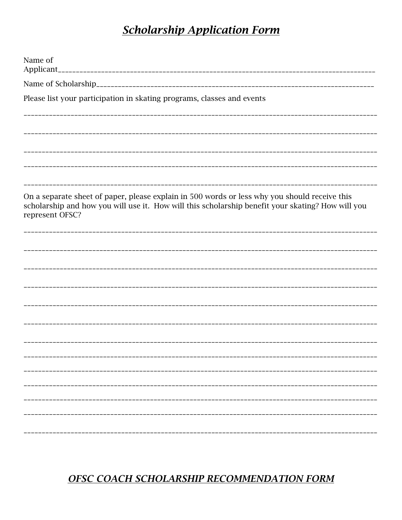# **Scholarship Application Form**

| Name of                                                                                                                                                                                                               |
|-----------------------------------------------------------------------------------------------------------------------------------------------------------------------------------------------------------------------|
|                                                                                                                                                                                                                       |
| Please list your participation in skating programs, classes and events                                                                                                                                                |
|                                                                                                                                                                                                                       |
|                                                                                                                                                                                                                       |
|                                                                                                                                                                                                                       |
| On a separate sheet of paper, please explain in 500 words or less why you should receive this<br>scholarship and how you will use it. How will this scholarship benefit your skating? How will you<br>represent OFSC? |
|                                                                                                                                                                                                                       |
|                                                                                                                                                                                                                       |
|                                                                                                                                                                                                                       |
|                                                                                                                                                                                                                       |
|                                                                                                                                                                                                                       |
|                                                                                                                                                                                                                       |
|                                                                                                                                                                                                                       |
|                                                                                                                                                                                                                       |
|                                                                                                                                                                                                                       |
|                                                                                                                                                                                                                       |

# **OFSC COACH SCHOLARSHIP RECOMMENDATION FORM**